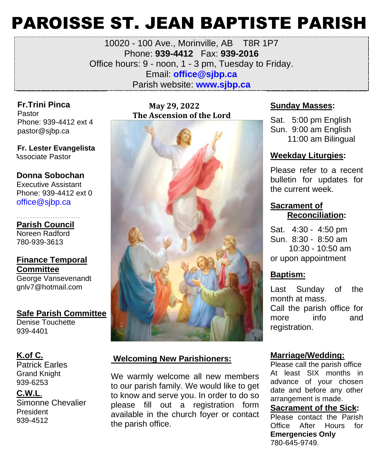# PAROISSE ST. JEAN BAPTISTE PARISH

10020 - 100 Ave., Morinville, AB T8R 1P7 Phone: **939-4412** Fax: **939-2016** Office hours: 9 - noon, 1 - 3 pm, Tuesday to Friday. Email: **office@sjbp.ca** Parish website: **[www.sjbp.ca](http://www.sjbp.ca/)**

**Fr.Trini Pinca** Pastor Phone: 939-4412 ext 4 pastor@sjbp.ca

**Fr. Lester Evangelista** Associate Pastor

**Donna Sobochan**  Executive Assistant Phone: 939-4412 ext 0 office@sjbp.ca

- - - - - - - - - - - - - - - - - - - - - - - - - - - - **Parish Council** Noreen Radford 780-939-3613

**Finance Temporal Committee** George Vansevenandt

gnlv7@hotmail.com

**Safe Parish Committee** Denise Touchette 939-4401

#### **K.of C.**

Patrick Earles Grand Knight 939-6253

#### **C.W.L**.

Simonne Chevalier President 939-4512

#### **May 29, 2022 The Ascension of the Lord**



#### **Welcoming New Parishioners:**

We warmly welcome all new members to our parish family. We would like to get to know and serve you. In order to do so please fill out a registration form available in the church foyer or contact the parish office.

#### **Sunday Masses:**

Sat. 5:00 pm English Sun. 9:00 am English 11:00 am Bilingual

#### **Weekday Liturgies:**

Please refer to a recent bulletin for updates for the current week.

#### **Sacrament of Reconciliation:**

Sat. 4:30 - 4:50 pm Sun. 8:30 - 8:50 am 10:30 - 10:50 am or upon appointment

#### **Baptism:**

Last Sunday of the month at mass. Call the parish office for more info and registration.

#### **Marriage/Wedding:**

Please call the parish office At least SIX months in advance of your chosen date and before any other arrangement is made.

#### **Sacrament of the Sick:**

Please contact the Parish Office After Hours for **Emergencies Only** 780-645-9749.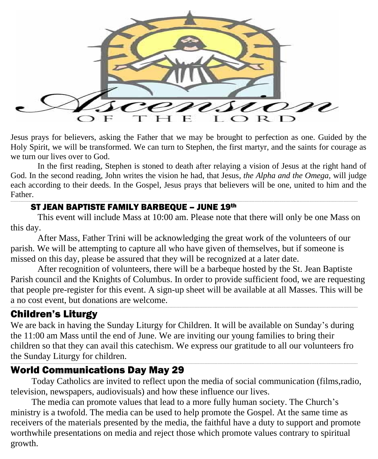

Jesus prays for believers, asking the Father that we may be brought to perfection as one. Guided by the Holy Spirit, we will be transformed. We can turn to Stephen, the first martyr, and the saints for courage as we turn our lives over to God.

In the first reading, Stephen is stoned to death after relaying a vision of Jesus at the right hand of God. In the second reading, John writes the vision he had, that Jesus, *the Alpha and the Omega,* will judge each according to their deeds. In the Gospel, Jesus prays that believers will be one, united to him and the Father.

#### ST JEAN BAPTISTE FAMILY BARBEQUE – JUNE 19th

This event will include Mass at 10:00 am. Please note that there will only be one Mass on this day.

\_\_\_\_\_\_\_\_\_\_\_\_\_\_\_\_\_\_\_\_\_\_\_\_\_\_\_\_\_\_\_\_\_\_\_\_\_\_\_\_\_\_\_\_\_\_\_\_\_\_\_\_\_\_\_\_\_\_\_\_\_\_\_\_\_\_\_\_\_\_\_\_\_\_\_\_\_\_\_\_\_\_\_\_\_\_\_\_\_\_\_\_\_\_\_\_\_\_\_\_\_\_\_\_\_\_\_\_\_\_\_\_\_\_\_\_\_\_\_\_\_\_\_\_\_\_\_\_\_\_\_\_\_\_\_\_\_\_\_\_\_\_\_\_\_\_\_\_\_\_\_\_\_\_\_\_\_\_\_\_\_\_\_\_\_\_\_\_\_\_\_\_\_\_\_\_\_\_\_\_\_\_\_\_\_\_\_\_\_\_\_\_\_\_\_\_\_\_\_\_\_\_\_\_\_\_\_\_\_\_\_\_\_\_\_\_\_\_\_\_\_\_\_\_\_\_\_\_\_\_\_\_\_\_\_\_\_\_\_\_\_\_\_\_\_\_\_\_\_\_\_\_\_\_\_\_\_\_\_\_\_\_\_\_\_\_\_\_\_\_\_\_\_\_\_\_\_\_\_\_\_\_\_\_\_\_\_\_\_\_\_\_\_\_\_\_\_\_\_\_\_\_\_\_\_\_\_\_\_\_

After Mass, Father Trini will be acknowledging the great work of the volunteers of our parish. We will be attempting to capture all who have given of themselves, but if someone is missed on this day, please be assured that they will be recognized at a later date.

After recognition of volunteers, there will be a barbeque hosted by the St. Jean Baptiste Parish council and the Knights of Columbus. In order to provide sufficient food, we are requesting that people pre-register for this event. A sign-up sheet will be available at all Masses. This will be a no cost event, but donations are welcome.

## Children's Liturgy

We are back in having the Sunday Liturgy for Children. It will be available on Sunday's during the 11:00 am Mass until the end of June. We are inviting our young families to bring their children so that they can avail this catechism. We express our gratitude to all our volunteers fro the Sunday Liturgy for children.

\_\_\_\_\_\_\_\_\_\_\_\_\_\_\_\_\_\_\_\_\_\_\_\_\_\_\_\_\_\_\_\_\_\_\_\_\_\_\_\_\_\_\_\_\_\_\_\_\_\_\_\_\_\_\_\_\_\_\_\_\_\_\_\_\_\_\_\_\_\_\_\_\_\_\_\_\_\_\_\_\_\_\_\_\_\_\_\_\_\_\_\_\_\_\_\_\_\_\_\_\_\_\_\_\_\_\_\_\_\_\_\_\_\_\_\_\_\_\_\_\_\_\_\_\_\_\_\_\_\_\_\_\_\_\_\_\_\_\_\_\_\_\_\_\_\_\_\_\_\_\_\_\_\_\_\_\_\_\_\_\_\_\_\_\_\_\_\_\_\_\_\_\_\_\_\_\_\_\_\_\_\_\_\_\_\_\_\_\_\_\_\_\_\_\_\_\_\_\_\_\_\_\_\_\_\_\_\_\_\_\_\_\_\_\_\_\_\_\_\_\_\_\_\_\_\_\_\_\_\_\_\_\_\_\_\_\_\_\_\_\_\_\_\_\_\_\_\_\_\_\_\_\_\_\_\_\_\_\_\_\_\_\_\_\_\_\_\_\_\_\_\_\_\_\_\_\_\_\_\_\_\_\_\_\_\_\_\_\_\_\_\_\_\_\_\_\_\_\_\_\_\_\_\_\_\_\_\_\_\_

\_\_\_\_\_\_\_\_\_\_\_\_\_\_\_\_\_\_\_\_\_\_\_\_\_\_\_\_\_\_\_\_\_\_\_\_\_\_\_\_\_\_\_\_\_\_\_\_\_\_\_\_\_\_\_\_\_\_\_\_\_\_\_\_\_\_\_\_\_\_\_\_\_\_\_\_\_\_\_\_\_\_\_\_\_\_\_\_\_\_\_\_\_\_\_\_\_\_\_\_\_\_\_\_\_\_\_\_\_\_\_\_\_\_\_\_\_\_\_\_\_\_\_\_\_\_\_\_\_\_\_\_\_\_\_\_\_\_\_\_\_\_\_\_\_\_\_\_\_\_\_\_\_\_\_\_\_\_\_\_\_\_\_\_\_\_\_\_\_\_\_\_\_\_\_\_\_\_\_\_\_\_\_\_\_\_\_\_\_\_\_\_\_\_\_\_\_\_\_\_\_\_\_\_\_\_\_\_\_\_\_\_\_\_\_\_\_\_\_\_\_\_\_\_\_\_\_\_\_\_\_\_\_\_\_\_\_\_\_\_\_\_\_\_\_\_\_\_\_\_\_\_\_\_\_\_\_\_\_\_\_\_\_\_\_\_\_\_\_\_\_\_\_\_\_\_\_\_\_\_\_\_\_\_\_\_\_\_\_\_\_\_\_\_\_\_\_\_\_\_\_\_\_\_\_\_\_\_\_\_

## World Communications Day May 29

Today Catholics are invited to reflect upon the media of social communication (films,radio, television, newspapers, audiovisuals) and how these influence our lives.

The media can promote values that lead to a more fully human society. The Church's ministry is a twofold. The media can be used to help promote the Gospel. At the same time as receivers of the materials presented by the media, the faithful have a duty to support and promote worthwhile presentations on media and reject those which promote values contrary to spiritual growth.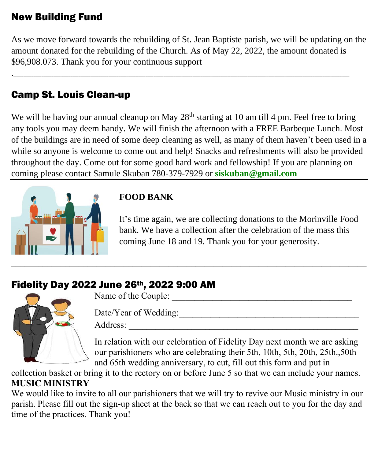# New Building Fund

As we move forward towards the rebuilding of St. Jean Baptiste parish, we will be updating on the amount donated for the rebuilding of the Church. As of May 22, 2022, the amount donated is \$96,908.073. Thank you for your continuous support

.\_\_\_\_\_\_\_\_\_\_\_\_\_\_\_\_\_\_\_\_\_\_\_\_\_\_\_\_\_\_\_\_\_\_\_\_\_\_\_\_\_\_\_\_\_\_\_\_\_\_\_\_\_\_\_\_\_\_\_\_\_\_\_\_\_\_\_\_\_\_\_\_\_\_\_\_\_\_\_\_\_\_\_\_\_\_\_\_\_\_\_\_\_\_\_\_\_\_\_\_\_\_\_\_\_\_\_\_\_\_\_\_\_\_\_\_\_\_\_\_\_\_\_\_\_\_\_\_\_\_\_\_\_\_\_\_\_\_\_\_\_\_\_\_\_\_\_\_\_\_\_\_\_\_\_\_\_\_\_\_\_\_\_\_\_\_\_\_\_\_\_\_\_\_\_\_\_\_\_\_\_\_\_\_\_\_\_\_\_\_\_\_\_\_\_\_\_\_\_\_\_\_\_\_\_\_\_\_\_\_\_\_\_\_\_\_\_\_\_\_\_\_\_\_\_\_\_\_\_\_\_\_\_\_\_\_\_\_\_\_\_\_\_\_\_\_\_\_\_\_\_\_\_\_\_\_\_\_\_\_\_\_\_\_\_\_\_\_\_\_\_\_\_\_\_\_\_\_\_\_\_\_\_\_\_\_\_\_\_\_\_\_\_\_\_\_\_\_\_\_

# Camp St. Louis Clean-up

We will be having our annual cleanup on May  $28<sup>th</sup>$  starting at 10 am till 4 pm. Feel free to bring any tools you may deem handy. We will finish the afternoon with a FREE Barbeque Lunch. Most of the buildings are in need of some deep cleaning as well, as many of them haven't been used in a while so anyone is welcome to come out and help! Snacks and refreshments will also be provided throughout the day. Come out for some good hard work and fellowship! If you are planning on coming please contact Samule Skuban 780-379-7929 or **[siskuban@gmail.com](mailto:siskuban@gmail.com)**



## **FOOD BANK**

It's time again, we are collecting donations to the Morinville Food bank. We have a collection after the celebration of the mass this coming June 18 and 19. Thank you for your generosity.

# Fidelity Day 2022 June 26th, 2022 9:00 AM



Name of the Couple:

Date/Year of Wedding:\_\_\_\_\_\_\_\_\_\_\_\_\_\_\_\_\_\_\_\_\_\_\_\_\_\_\_\_\_\_\_\_\_\_\_\_\_\_\_\_

Address:

In relation with our celebration of Fidelity Day next month we are asking our parishioners who are celebrating their 5th, 10th, 5th, 20th, 25th.,50th and 65th wedding anniversary, to cut, fill out this form and put in

collection basket or bring it to the rectory on or before June 5 so that we can include your names. **MUSIC MINISTRY**

We would like to invite to all our parishioners that we will try to revive our Music ministry in our parish. Please fill out the sign-up sheet at the back so that we can reach out to you for the day and time of the practices. Thank you!